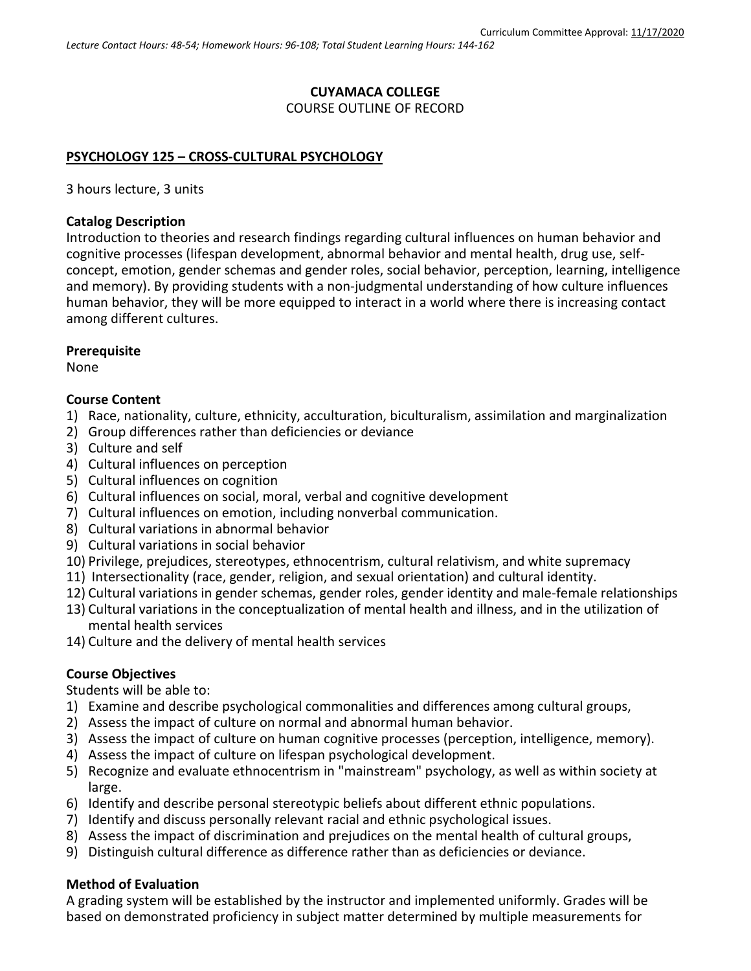## **CUYAMACA COLLEGE** COURSE OUTLINE OF RECORD

### **PSYCHOLOGY 125 – CROSS-CULTURAL PSYCHOLOGY**

3 hours lecture, 3 units

#### **Catalog Description**

Introduction to theories and research findings regarding cultural influences on human behavior and cognitive processes (lifespan development, abnormal behavior and mental health, drug use, selfconcept, emotion, gender schemas and gender roles, social behavior, perception, learning, intelligence and memory). By providing students with a non-judgmental understanding of how culture influences human behavior, they will be more equipped to interact in a world where there is increasing contact among different cultures.

#### **Prerequisite**

None

#### **Course Content**

- 1) Race, nationality, culture, ethnicity, acculturation, biculturalism, assimilation and marginalization
- 2) Group differences rather than deficiencies or deviance
- 3) Culture and self
- 4) Cultural influences on perception
- 5) Cultural influences on cognition
- 6) Cultural influences on social, moral, verbal and cognitive development
- 7) Cultural influences on emotion, including nonverbal communication.
- 8) Cultural variations in abnormal behavior
- 9) Cultural variations in social behavior
- 10) Privilege, prejudices, stereotypes, ethnocentrism, cultural relativism, and white supremacy
- 11) Intersectionality (race, gender, religion, and sexual orientation) and cultural identity.
- 12) Cultural variations in gender schemas, gender roles, gender identity and male-female relationships
- 13) Cultural variations in the conceptualization of mental health and illness, and in the utilization of mental health services
- 14) Culture and the delivery of mental health services

### **Course Objectives**

Students will be able to:

- 1) Examine and describe psychological commonalities and differences among cultural groups,
- 2) Assess the impact of culture on normal and abnormal human behavior.
- 3) Assess the impact of culture on human cognitive processes (perception, intelligence, memory).
- 4) Assess the impact of culture on lifespan psychological development.
- 5) Recognize and evaluate ethnocentrism in "mainstream" psychology, as well as within society at large.
- 6) Identify and describe personal stereotypic beliefs about different ethnic populations.
- 7) Identify and discuss personally relevant racial and ethnic psychological issues.
- 8) Assess the impact of discrimination and prejudices on the mental health of cultural groups,
- 9) Distinguish cultural difference as difference rather than as deficiencies or deviance.

#### **Method of Evaluation**

A grading system will be established by the instructor and implemented uniformly. Grades will be based on demonstrated proficiency in subject matter determined by multiple measurements for